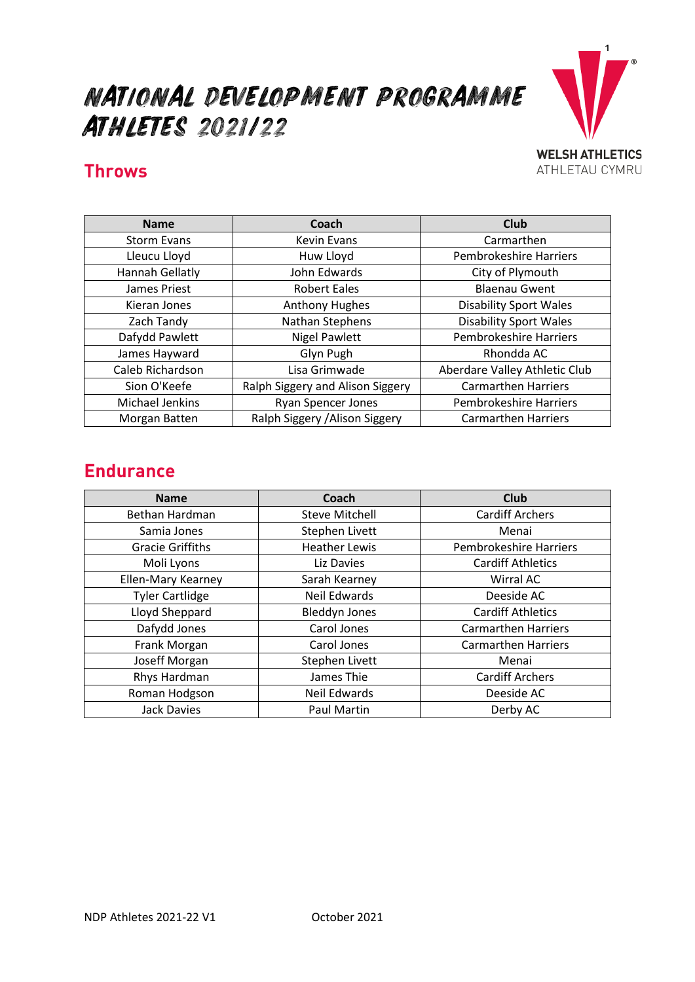# National Development Programme Athletes 2021/22



#### **Throws**

| <b>Name</b>        | Coach                            | Club                          |
|--------------------|----------------------------------|-------------------------------|
| <b>Storm Evans</b> | <b>Kevin Evans</b>               | Carmarthen                    |
| Lleucu Lloyd       | Huw Lloyd                        | <b>Pembrokeshire Harriers</b> |
| Hannah Gellatly    | John Edwards                     | City of Plymouth              |
| James Priest       | <b>Robert Eales</b>              | <b>Blaenau Gwent</b>          |
| Kieran Jones       | <b>Anthony Hughes</b>            | <b>Disability Sport Wales</b> |
| Zach Tandy         | Nathan Stephens                  | <b>Disability Sport Wales</b> |
| Dafydd Pawlett     | <b>Nigel Pawlett</b>             | <b>Pembrokeshire Harriers</b> |
| James Hayward      | Glyn Pugh                        | Rhondda AC                    |
| Caleb Richardson   | Lisa Grimwade                    | Aberdare Valley Athletic Club |
| Sion O'Keefe       | Ralph Siggery and Alison Siggery | <b>Carmarthen Harriers</b>    |
| Michael Jenkins    | <b>Ryan Spencer Jones</b>        | Pembrokeshire Harriers        |
| Morgan Batten      | Ralph Siggery / Alison Siggery   | <b>Carmarthen Harriers</b>    |

#### **Endurance**

| <b>Name</b>             | Coach                 | <b>Club</b>                |
|-------------------------|-----------------------|----------------------------|
| Bethan Hardman          | <b>Steve Mitchell</b> | <b>Cardiff Archers</b>     |
| Samia Jones             | Stephen Livett        | Menai                      |
| <b>Gracie Griffiths</b> | <b>Heather Lewis</b>  | Pembrokeshire Harriers     |
| Moli Lyons              | Liz Davies            | <b>Cardiff Athletics</b>   |
| Ellen-Mary Kearney      | Sarah Kearney         | Wirral AC                  |
| <b>Tyler Cartlidge</b>  | <b>Neil Edwards</b>   | Deeside AC                 |
| Lloyd Sheppard          | <b>Bleddyn Jones</b>  | <b>Cardiff Athletics</b>   |
| Dafydd Jones            | Carol Jones           | <b>Carmarthen Harriers</b> |
| Frank Morgan            | Carol Jones           | <b>Carmarthen Harriers</b> |
| Joseff Morgan           | Stephen Livett        | Menai                      |
| Rhys Hardman            | James Thie            | <b>Cardiff Archers</b>     |
| Roman Hodgson           | <b>Neil Edwards</b>   | Deeside AC                 |
| <b>Jack Davies</b>      | Paul Martin           | Derby AC                   |